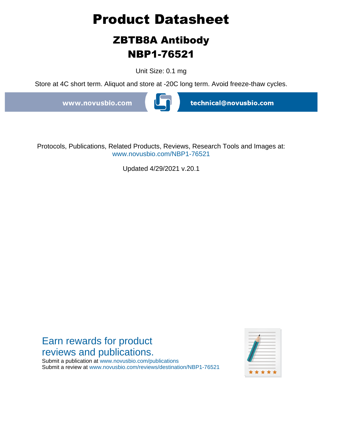# **Product Datasheet**

## **ZBTB8A Antibody NBP1-76521**

Unit Size: 0.1 mg

Store at 4C short term. Aliquot and store at -20C long term. Avoid freeze-thaw cycles.

www.novusbio.com



technical@novusbio.com

Protocols, Publications, Related Products, Reviews, Research Tools and Images at: www.novusbio.com/NBP1-76521

Updated 4/29/2021 v.20.1

### Earn rewards for product reviews and publications.

Submit a publication at www.novusbio.com/publications Submit a review at www.novusbio.com/reviews/destination/NBP1-76521

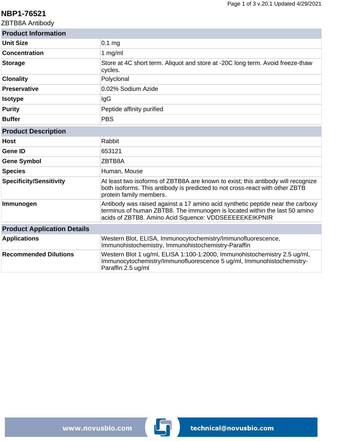#### **NBP1-76521**

ZBTB8A Antibody

| <b>Product Information</b>         |                                                                                                                                                                                                                       |
|------------------------------------|-----------------------------------------------------------------------------------------------------------------------------------------------------------------------------------------------------------------------|
| <b>Unit Size</b>                   | $0.1$ mg                                                                                                                                                                                                              |
| <b>Concentration</b>               | 1 $mg/ml$                                                                                                                                                                                                             |
| <b>Storage</b>                     | Store at 4C short term. Aliquot and store at -20C long term. Avoid freeze-thaw<br>cycles.                                                                                                                             |
| <b>Clonality</b>                   | Polyclonal                                                                                                                                                                                                            |
| <b>Preservative</b>                | 0.02% Sodium Azide                                                                                                                                                                                                    |
| <b>Isotype</b>                     | IgG                                                                                                                                                                                                                   |
| <b>Purity</b>                      | Peptide affinity purified                                                                                                                                                                                             |
| <b>Buffer</b>                      | <b>PBS</b>                                                                                                                                                                                                            |
| <b>Product Description</b>         |                                                                                                                                                                                                                       |
| <b>Host</b>                        | Rabbit                                                                                                                                                                                                                |
| <b>Gene ID</b>                     | 653121                                                                                                                                                                                                                |
| <b>Gene Symbol</b>                 | ZBTB8A                                                                                                                                                                                                                |
| <b>Species</b>                     | Human, Mouse                                                                                                                                                                                                          |
| <b>Specificity/Sensitivity</b>     | At least two isoforms of ZBTB8A are known to exist; this antibody will recognize<br>both isoforms. This antibody is predicted to not cross-react with other ZBTB<br>protein family members.                           |
| Immunogen                          | Antibody was raised against a 17 amino acid synthetic peptide near the carboxy<br>terminus of human ZBTB8. The immunogen is located within the last 50 amino<br>acids of ZBTB8. Amino Acid Squence: VDDSEEEEEKEIKPNIR |
| <b>Product Application Details</b> |                                                                                                                                                                                                                       |
| <b>Applications</b>                | Western Blot, ELISA, Immunocytochemistry/Immunofluorescence,<br>Immunohistochemistry, Immunohistochemistry-Paraffin                                                                                                   |
| <b>Recommended Dilutions</b>       | Western Blot 1 ug/ml, ELISA 1:100-1:2000, Immunohistochemistry 2.5 ug/ml,<br>Immunocytochemistry/Immunofluorescence 5 ug/ml, Immunohistochemistry-<br>Paraffin 2.5 ug/ml                                              |

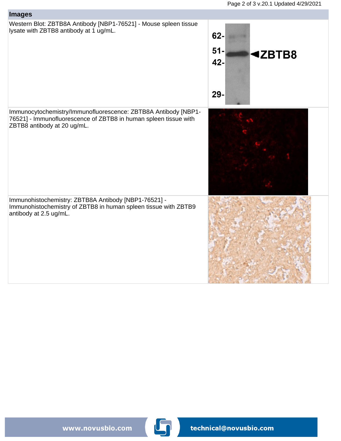

www.novusbio.com